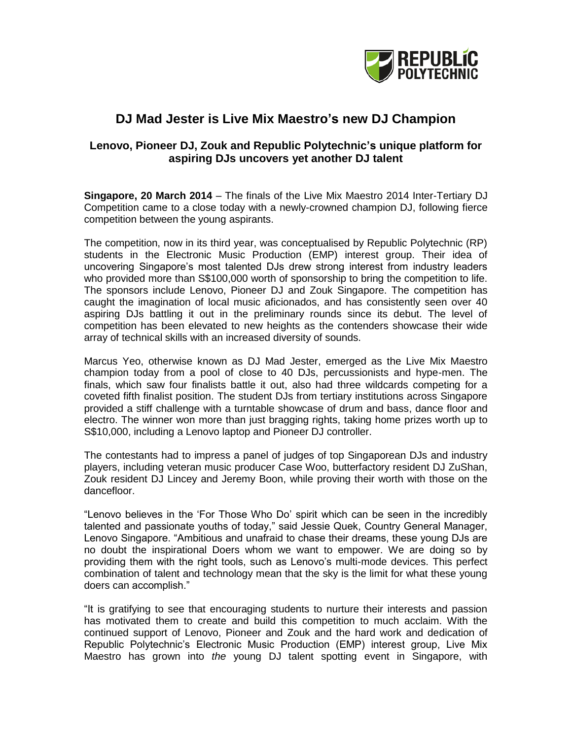

# **DJ Mad Jester is Live Mix Maestro's new DJ Champion**

## **Lenovo, Pioneer DJ, Zouk and Republic Polytechnic's unique platform for aspiring DJs uncovers yet another DJ talent**

**Singapore, 20 March 2014** – The finals of the Live Mix Maestro 2014 Inter-Tertiary DJ Competition came to a close today with a newly-crowned champion DJ, following fierce competition between the young aspirants.

The competition, now in its third year, was conceptualised by Republic Polytechnic (RP) students in the Electronic Music Production (EMP) interest group. Their idea of uncovering Singapore"s most talented DJs drew strong interest from industry leaders who provided more than S\$100,000 worth of sponsorship to bring the competition to life. The sponsors include Lenovo, Pioneer DJ and Zouk Singapore. The competition has caught the imagination of local music aficionados, and has consistently seen over 40 aspiring DJs battling it out in the preliminary rounds since its debut. The level of competition has been elevated to new heights as the contenders showcase their wide array of technical skills with an increased diversity of sounds.

Marcus Yeo, otherwise known as DJ Mad Jester, emerged as the Live Mix Maestro champion today from a pool of close to 40 DJs, percussionists and hype-men. The finals, which saw four finalists battle it out, also had three wildcards competing for a coveted fifth finalist position. The student DJs from tertiary institutions across Singapore provided a stiff challenge with a turntable showcase of drum and bass, dance floor and electro. The winner won more than just bragging rights, taking home prizes worth up to S\$10,000, including a Lenovo laptop and Pioneer DJ controller.

The contestants had to impress a panel of judges of top Singaporean DJs and industry players, including veteran music producer Case Woo, butterfactory resident DJ ZuShan, Zouk resident DJ Lincey and Jeremy Boon, while proving their worth with those on the dancefloor.

"Lenovo believes in the "For Those Who Do" spirit which can be seen in the incredibly talented and passionate youths of today," said Jessie Quek, Country General Manager, Lenovo Singapore. "Ambitious and unafraid to chase their dreams, these young DJs are no doubt the inspirational Doers whom we want to empower. We are doing so by providing them with the right tools, such as Lenovo"s multi-mode devices. This perfect combination of talent and technology mean that the sky is the limit for what these young doers can accomplish."

"It is gratifying to see that encouraging students to nurture their interests and passion has motivated them to create and build this competition to much acclaim. With the continued support of Lenovo, Pioneer and Zouk and the hard work and dedication of Republic Polytechnic"s Electronic Music Production (EMP) interest group, Live Mix Maestro has grown into *the* young DJ talent spotting event in Singapore, with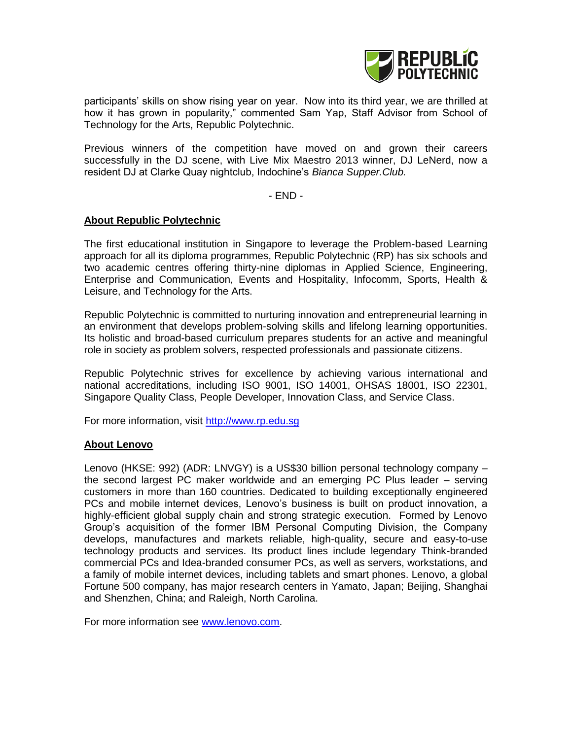

participants' skills on show rising year on year. Now into its third year, we are thrilled at how it has grown in popularity," commented Sam Yap, Staff Advisor from School of Technology for the Arts, Republic Polytechnic.

Previous winners of the competition have moved on and grown their careers successfully in the DJ scene, with Live Mix Maestro 2013 winner, DJ LeNerd, now a resident DJ at Clarke Quay nightclub, Indochine"s *Bianca Supper.Club.*

- END -

#### **About Republic Polytechnic**

The first educational institution in Singapore to leverage the Problem-based Learning approach for all its diploma programmes, Republic Polytechnic (RP) has six schools and two academic centres offering thirty-nine diplomas in Applied Science, Engineering, Enterprise and Communication, Events and Hospitality, Infocomm, Sports, Health & Leisure, and Technology for the Arts.

Republic Polytechnic is committed to nurturing innovation and entrepreneurial learning in an environment that develops problem-solving skills and lifelong learning opportunities. Its holistic and broad-based curriculum prepares students for an active and meaningful role in society as problem solvers, respected professionals and passionate citizens.

Republic Polytechnic strives for excellence by achieving various international and national accreditations, including ISO 9001, ISO 14001, OHSAS 18001, ISO 22301, Singapore Quality Class, People Developer, Innovation Class, and Service Class.

For more information, visit [http://www.rp.edu.sg](http://www.rp.edu.sg/)

#### **About Lenovo**

Lenovo (HKSE: 992) (ADR: LNVGY) is a US\$30 billion personal technology company – the second largest PC maker worldwide and an emerging PC Plus leader – serving customers in more than 160 countries. Dedicated to building exceptionally engineered PCs and mobile internet devices, Lenovo"s business is built on product innovation, a highly-efficient global supply chain and strong strategic execution. Formed by Lenovo Group"s acquisition of the former IBM Personal Computing Division, the Company develops, manufactures and markets reliable, high-quality, secure and easy-to-use technology products and services. Its product lines include legendary Think-branded commercial PCs and Idea-branded consumer PCs, as well as servers, workstations, and a family of mobile internet devices, including tablets and smart phones. Lenovo, a global Fortune 500 company, has major research centers in Yamato, Japan; Beijing, Shanghai and Shenzhen, China; and Raleigh, North Carolina.

For more information see [www.lenovo.com.](http://www.lenovo.com/)